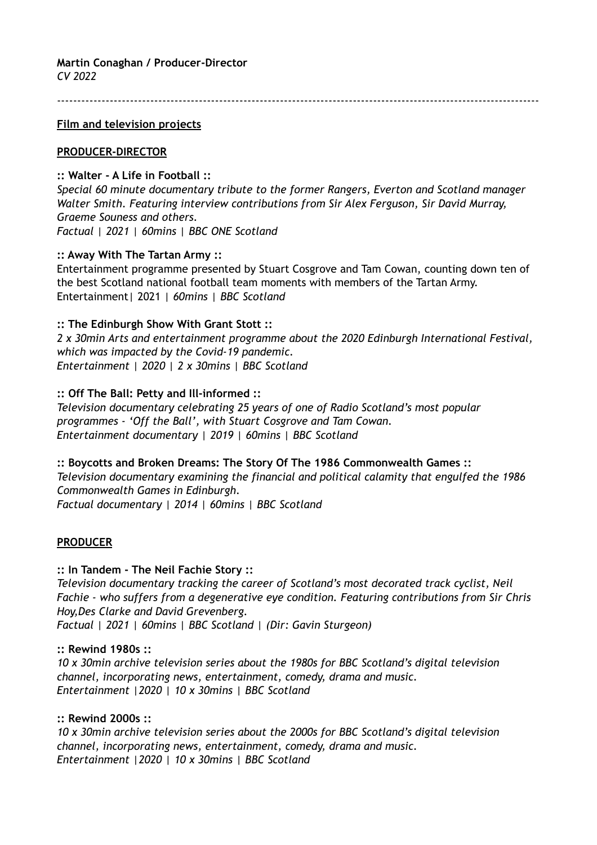#### **Martin Conaghan / Producer-Director** *CV 2022*

-----------------------------------------------------------------------------------------------------------------------

#### **Film and television projects**

#### **PRODUCER-DIRECTOR**

## **:: Walter - A Life in Football ::**

*Special 60 minute documentary tribute to the former Rangers, Everton and Scotland manager Walter Smith. Featuring interview contributions from Sir Alex Ferguson, Sir David Murray, Graeme Souness and others. Factual | 2021 | 60mins | BBC ONE Scotland*

#### **:: Away With The Tartan Army ::**

Entertainment programme presented by Stuart Cosgrove and Tam Cowan, counting down ten of the best Scotland national football team moments with members of the Tartan Army. Entertainment*|* 2021 *| 60mins | BBC Scotland*

#### **:: The Edinburgh Show With Grant Stott ::**

*2 x 30min Arts and entertainment programme about the 2020 Edinburgh International Festival, which was impacted by the Covid-19 pandemic. Entertainment | 2020 | 2 x 30mins | BBC Scotland*

## **:: Off The Ball: Petty and Ill-informed ::**

*Television documentary celebrating 25 years of one of Radio Scotland's most popular programmes - 'Off the Ball', with Stuart Cosgrove and Tam Cowan. Entertainment documentary | 2019 | 60mins | BBC Scotland*

**:: Boycotts and Broken Dreams: The Story Of The 1986 Commonwealth Games ::** *Television documentary examining the financial and political calamity that engulfed the 1986 Commonwealth Games in Edinburgh. Factual documentary | 2014 | 60mins | BBC Scotland*

#### **PRODUCER**

#### **:: In Tandem - The Neil Fachie Story ::**

*Television documentary tracking the career of Scotland's most decorated track cyclist, Neil Fachie - who suffers from a degenerative eye condition. Featuring contributions from Sir Chris Hoy,Des Clarke and David Grevenberg.* 

*Factual | 2021 | 60mins | BBC Scotland | (Dir: Gavin Sturgeon)*

#### **:: Rewind 1980s ::**

*10 x 30min archive television series about the 1980s for BBC Scotland's digital television channel, incorporating news, entertainment, comedy, drama and music. Entertainment |2020 | 10 x 30mins | BBC Scotland*

#### **:: Rewind 2000s ::**

*10 x 30min archive television series about the 2000s for BBC Scotland's digital television channel, incorporating news, entertainment, comedy, drama and music. Entertainment |2020 | 10 x 30mins | BBC Scotland*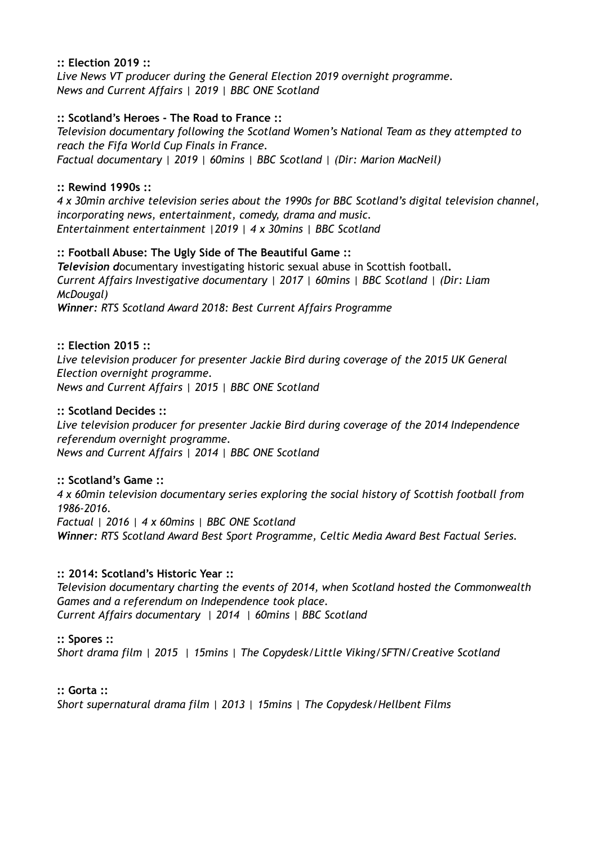#### **:: Election 2019 ::**

*Live News VT producer during the General Election 2019 overnight programme. News and Current Affairs | 2019 | BBC ONE Scotland* 

# **:: Scotland's Heroes - The Road to France ::**

*Television documentary following the Scotland Women's National Team as they attempted to reach the Fifa World Cup Finals in France. Factual documentary | 2019 | 60mins | BBC Scotland | (Dir: Marion MacNeil)*

# **:: Rewind 1990s ::**

*4 x 30min archive television series about the 1990s for BBC Scotland's digital television channel, incorporating news, entertainment, comedy, drama and music. Entertainment entertainment |2019 | 4 x 30mins | BBC Scotland* 

## **:: Football Abuse: The Ugly Side of The Beautiful Game ::**

*Television d*ocumentary investigating historic sexual abuse in Scottish football**.**  *Current Affairs Investigative documentary | 2017 | 60mins | BBC Scotland | (Dir: Liam McDougal)*

*Winner: RTS Scotland Award 2018: Best Current Affairs Programme*

# **:: Election 2015 ::**

*Live television producer for presenter Jackie Bird during coverage of the 2015 UK General Election overnight programme. News and Current Affairs | 2015 | BBC ONE Scotland*

## **:: Scotland Decides ::**

*Live television producer for presenter Jackie Bird during coverage of the 2014 Independence referendum overnight programme. News and Current Affairs | 2014 | BBC ONE Scotland*

## **:: Scotland's Game ::**

*4 x 60min television documentary series exploring the social history of Scottish football from 1986-2016.* 

*Factual | 2016 | 4 x 60mins | BBC ONE Scotland Winner: RTS Scotland Award Best Sport Programme, Celtic Media Award Best Factual Series.*

# **:: 2014: Scotland's Historic Year ::**

*Television documentary charting the events of 2014, when Scotland hosted the Commonwealth Games and a referendum on Independence took place. Current Affairs documentary | 2014 | 60mins | BBC Scotland*

## **:: Spores ::**

*Short drama film | 2015 | 15mins | The Copydesk/Little Viking/SFTN/Creative Scotland*

## **:: Gorta ::**

*Short supernatural drama film | 2013 | 15mins | The Copydesk/Hellbent Films*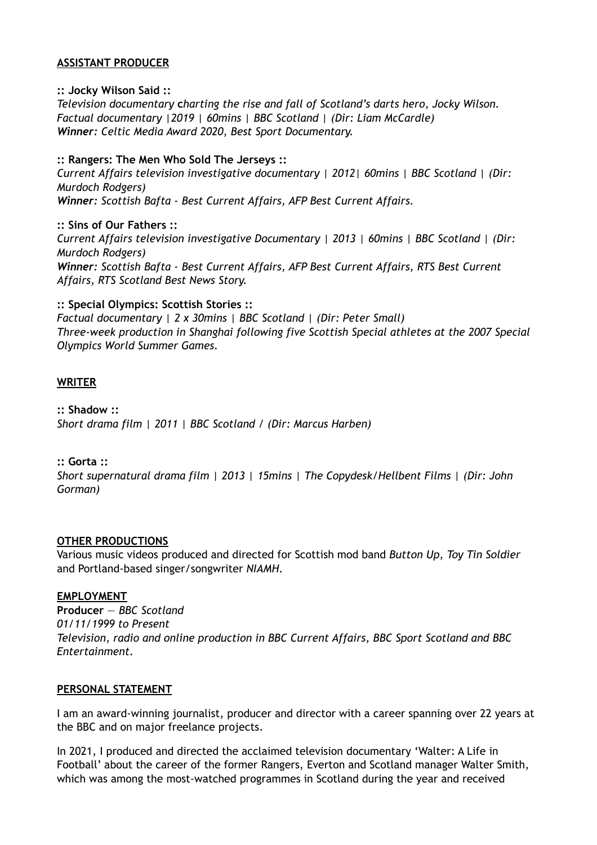## **ASSISTANT PRODUCER**

## **:: Jocky Wilson Said ::**

*Television documentary* **c***harting the rise and fall of Scotland's darts hero, Jocky Wilson. Factual documentary |2019 | 60mins | BBC Scotland | (Dir: Liam McCardle) Winner: Celtic Media Award 2020, Best Sport Documentary.*

## **:: Rangers: The Men Who Sold The Jerseys ::**

*Current Affairs television investigative documentary | 2012| 60mins | BBC Scotland | (Dir: Murdoch Rodgers) Winner: Scottish Bafta - Best Current Affairs, AFP Best Current Affairs.*

**:: Sins of Our Fathers ::** *Current Affairs television investigative Documentary | 2013 | 60mins | BBC Scotland | (Dir: Murdoch Rodgers) Winner: Scottish Bafta - Best Current Affairs, AFP Best Current Affairs, RTS Best Current Affairs, RTS Scotland Best News Story.*

# **:: Special Olympics: Scottish Stories ::**

*Factual documentary | 2 x 30mins | BBC Scotland | (Dir: Peter Small) Three-week production in Shanghai following five Scottish Special athletes at the 2007 Special Olympics World Summer Games.*

# **WRITER**

**:: Shadow ::** *Short drama film | 2011 | BBC Scotland / (Dir: Marcus Harben)*

## **:: Gorta ::**

*Short supernatural drama film | 2013 | 15mins | The Copydesk/Hellbent Films | (Dir: John Gorman)*

## **OTHER PRODUCTIONS**

Various music videos produced and directed for Scottish mod band *Button Up*, *Toy Tin Soldier* and Portland-based singer/songwriter *NIAMH*.

## **EMPLOYMENT**

**Producer** — *BBC Scotland 01/11/1999 to Present Television, radio and online production in BBC Current Affairs, BBC Sport Scotland and BBC Entertainment.*

## **PERSONAL STATEMENT**

I am an award-winning journalist, producer and director with a career spanning over 22 years at the BBC and on major freelance projects.

In 2021, I produced and directed the acclaimed television documentary 'Walter: A Life in Football' about the career of the former Rangers, Everton and Scotland manager Walter Smith, which was among the most-watched programmes in Scotland during the year and received